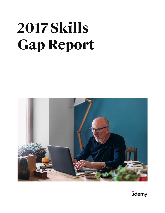# **2017 Skills Gap Report**



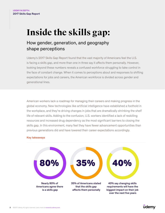# **Inside the skills gap:**

### How gender, generation, and geography shape perceptions

Udemy's 2017 Skills Gap Report found that the vast majority of Americans feel the U.S. is facing a skills gap, and more than one in three say it affects them personally. However, looking beyond these numbers reveals a confused workforce struggling to take control in the face of constant change. When it comes to perceptions about and responses to shifting expectations for jobs and careers, the American workforce is divided across gender and generational lines.

American workers lack a roadmap for managing their careers and making progress in the global economy. New technologies like artificial intelligence have established a foothold in the workplace, and they're driving changes in jobs that are dramatically shrinking the shelf life of relevant skills. Adding to the confusion, U.S. workers identified a lack of reskilling resources and increased drug dependency as the most significant barriers to closing the skills gap. In this environment, many feel they have fewer advancement opportunities than previous generations did and have lowered their career expectations accordingly.

#### Key takeaways



#### **<u>udemy</u>**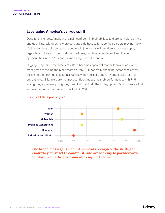#### **Leveraging America's can-do spirit**

Despite challenges, Americans remain confident in their abilities and are actively reskilling and upskilling, taking on new projects and side hustles to keep their careers moving. Now, it's time for the public and private sectors to join forces with workers so more people, regardless of location or educational pedigree, can take advantage of employment opportunities in the 21st century knowledge-based economy.

Digging deeper into the survey results, it becomes apparent that millennials, men, and managers are feeling the pinch most acutely. But, generally speaking, Americans are still bullish on their own qualifications: 78% say they possess above-average skills for their current jobs. Millennials are the most confident about their job performance, with 74% saying they know everything they need to know to do their jobs, up from 53% when we first surveyed American workers on this topic in 2014.



#### Does the Skills Gap affect you?

**The broad message is clear: Americans recognize the skills gap, know they must act to counter it, and are looking to partner with employers and the government to support them.**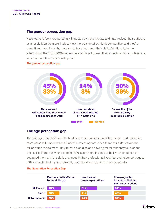#### **The gender perception gap**

Male workers feel more personally impacted by the skills gap and have revised their outlooks as a result. Men are more likely to view the job market as highly competitive, and they're three times more likely than women to have lied about their skills. Additionally, in the aftermath of the 2008-2009 recession, men have lowered their expectations for professional success more than their female peers.

#### The gender perception gap



#### **The age perception gap**

The skills gap looks different to the different generations too, with younger workers feeling more personally impacted and limited in career opportunities than their older coworkers. Millennials are also more likely to have side gigs and have a greater tendency to lie about their skills. Moreover, young people (71%) seem more inclined to believe their education equipped them with the skills they need in their professional lives than their older colleagues (58%), despite feeling more strongly that the skills gap affects them personally.

|                     | Feel personally affected<br>by the skills gap | <b>Have lowered</b><br>career expectations | Cite geographic<br>location as limiting<br>their career options |
|---------------------|-----------------------------------------------|--------------------------------------------|-----------------------------------------------------------------|
| <b>Millennials</b>  | 43%                                           | 51%                                        | 54%                                                             |
| Gen X               | 38%                                           | 21%                                        | 46%                                                             |
| <b>Baby Boomers</b> | 23%                                           | 24%                                        | 32%                                                             |

#### The Generation Perception Gap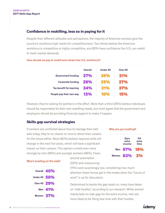#### **Confidence in reskilling, less so in paying for it**

Despite their different attitudes and perceptions, the majority of American workers give the country's workforce high marks for competitiveness. Two-thirds believe the American workforce is competitive or highly competitive, and 80% have confidence the U.S. can reskill to meet market demands.

|                           | Overall    | Under 40 | Over 40    |  |
|---------------------------|------------|----------|------------|--|
| <b>Government funding</b> | <b>27%</b> | 35%      | 21%        |  |
| <b>Corporate funding</b>  | 26%        | 25%      | <b>27%</b> |  |
| Tax benefit for learning  | 34%        | 31%      | 37%        |  |
| People pay their own way  | 13%        | l I Ya   | השבו       |  |

#### How should we pay to reskill and retrain the U.S. workforce?

However, they're looking for partners in the effort. More than a third (36%) believe individuals should be responsible for their own reskilling needs, but most agree that the government and employers should be providing financial support to make it happen.

#### **Skills gap survival strategies**

If workers are conflicted about how to manage their skill sets today, they're no clearer on how to direct their careers for the future either. Most (60%) believe required skills will change in the next five years, which will have a significant impact on their careers. This opinion is held even more strongly by men (66%) and younger workers (66%). Fears

> around automation (22%) and outsourcing

(11%) were surprisingly low, considering how much attention these forces get in the media when the "future of work" is up for discussion.

Why are you hustling?

Earn extra income

Men 67% 18%

Women **83% 2%** 

Fill extra time

Determined to tackle the gap head-on, many have taken on "side hustles," according to our research. While women mainly take on side gigs for the extra income, men are more likely to be filling free time with their hustles.

|              | Overall 40% |
|--------------|-------------|
| Under 40 50% |             |
| Over 40 29%  |             |
|              | Men 41%     |
|              | Women 37%   |

#### **udemy**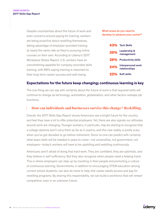Despite uncertainties about the future of work and even concerns around paying for training, workers are being proactive about reskilling themselves, taking advantage of employer-provided training at nearly the same rate as they're pursuing online courses on their own. According to Udemy's 2017 Workplace Stress Report, U.S. workers have an overwhelming appetite for company-provided skills training, with 89% saying training is important to their long-term career success and well-being.

What areas do you need to develop to advance your career?

|     | 43% Tech Skills                     |
|-----|-------------------------------------|
| 30% | Leadership &<br>management          |
| 26% | <b>Productivity skills</b>          |
| 24% | Interpersonal work<br>relationships |
|     | 22% Soft skills                     |

#### **Expectations for the future keep changing; continuous learning is key**

The one thing we can say with certainty about the future of work is that required skills will continue to change as technology, automation, globalization, and other factors reshape job functions.

#### **How can individuals and businesses survive this change? Reskilling.**

Overall, the 2017 Skills Gap Report shows Americans see a bright future for the country and feel they have a lot to offer potential employers. Yet, there are also signals our attitudes around work are changing. Younger workers, in particular, may be starting to recognize that a college diploma won't carry them as far as it used to, and this new reality is pretty scary when you've got decades to go before retirement. Since no one can predict with certainty what exact skills will be needed in years to come—not universities, not government, not employers—today's workers will have to be upskilling and reskilling continuously.

Americans aren't afraid of doing that hard work. They are confident, they are optimists, and they believe in self-sufficiency. But they also recognize when people need a helping hand. This is where employers can step up by investing in their people and promoting a culture of continuous learning. Governments, in addition to encouraging STEM education among current school students, can also do more to help mid-career adults access and pay for reskilling programs. By sharing this responsibility, we can build a workforce that will remain competitive, even in an unknown future.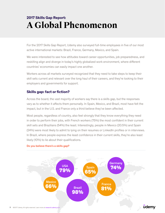## **A Global Phenomenon 2017 Skills Gap Report:**

For the 2017 Skills Gap Report, Udemy also surveyed full-time employees in five of our most active international markets: Brazil, France, Germany, Mexico, and Spain.

We were interested to see how attitudes toward career opportunities, job preparedness, and reskilling align and diverge in today's highly globalized work environment, where different countries' economies can easily impact one another.

Workers across all markets surveyed recognized that they need to take steps to keep their skill sets current and relevant over the long haul of their careers, and they're looking to their employers and governments for support.

#### **Skills gap: fact or fiction?**

Across the board, the vast majority of workers say there is a skills gap, but the responses vary as to whether it affects them personally. In Spain, Mexico, and Brazil, most have felt the impact, but in the U.S. and France only a third believe they've been affected.

Most people, regardless of country, also feel strongly that they know everything they need in order to perform their jobs, with French workers (75%) the most confident in their current skill sets and Brazilians (54%) the least. Interestingly, people in Mexico (20.5%) and Spain (24%) were most likely to admit to lying on their resumes or LinkedIn profiles or in interviews. In Brazil, where people express the least confidence in their current skills, they're also least likely (10%) to lie about their qualifications.



#### Do you believe there's a skills gap?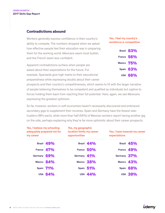#### **Contradictions abound**

Workers generally express confidence in their country's ability to compete. The numbers dropped when we asked how effective people feel their education was in preparing them for the working world. Mexicans seem most bullish, and the French seem less confident.

Apparent contradictions surface when people are asked about their expectations for the future. For example, Spaniards give high marks to their educational preparedness while expressing doubts about their career

prospects and their country's competitiveness, which seems to fit with the larger narrative of people believing themselves to be competent and qualified as individuals but captive to forces holding them back from reaching their full potential. Here, again, we see Mexicans expressing the greatest optimism.

So far, however, workers in soft economies haven't necessarily discovered and embraced secondary gigs to supplement their incomes. Spain and Germany have the fewest sidehustlers (18% each), while more than half (54%) of Mexican workers report having another gig on the side, perhaps explaining why they're far more optimistic about their career prospects.

| Yes, I believe my schooling<br>adequately prepared me for<br>my career |                | Yes, my geographic<br>location limits my career<br>opportunities |                | Yes, I have lowered my career<br>expectations |                |
|------------------------------------------------------------------------|----------------|------------------------------------------------------------------|----------------|-----------------------------------------------|----------------|
|                                                                        | Brazil 49%     |                                                                  | Brazil 44%     |                                               | Brazil 45%     |
|                                                                        | France 47%     |                                                                  | France 50%     |                                               | France 49%     |
| Germany 69%                                                            |                | Germany 41%                                                      |                | Germany 37%                                   |                |
|                                                                        | Mexico 84%     |                                                                  | Mexico 38%     |                                               | Mexico 43%     |
|                                                                        | Spain 71%      |                                                                  | Spain 51%      |                                               | Spain 68%      |
|                                                                        | <b>USA 64%</b> |                                                                  | <b>USA 44%</b> |                                               | <b>USA 39%</b> |

| Yes, I feel my country's |  |
|--------------------------|--|
| workforce is competitive |  |

| Brazil 83%     |
|----------------|
| France $56%$   |
| Mexico 75%     |
| Spain $63%$    |
| <b>USA 66%</b> |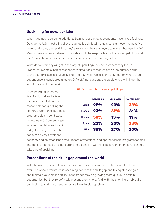#### **Upskilling for now… or later**

When it comes to pursuing additional training, our survey respondents have mixed feelings. Outside the U.S., most still believe required job skills will remain constant over the next five years, and if they are reskilling, they're relying on their employers to make it happen. Half of Mexican respondents believe individuals should be responsible for their own upskilling, and they're also far more likely than other nationalities to be learning online.

What do workers say will get in the way of upskilling? It depends where they live. In France, for example, half of respondents cited "lack of motivation" as the primary barrier to the country's successful upskilling. The U.S., meanwhile, is the only country where drug dependence is considered a factor; 20% of Americans say the opioid crisis will hinder the workforce's ability to reskill.

In an emerging economy like Brazil, workers believe the government should be responsible for upskilling the country's workforce, but those programs clearly don't exist yet—a mere 8% are engaged in government-backed training today. Germany, on the other hand, has a very developed

#### Who's responsible for your upskilling?

|               | Individuals | <b>Employers</b> | Government |
|---------------|-------------|------------------|------------|
| <b>Brazil</b> | 22%         | 23%              | 33%        |
| <b>France</b> | 23%         | 32%              | 31%        |
| <b>Mexico</b> | 50%         | 13%              | 17%        |
| <b>Spain</b>  | 22%         | 23%              | 33%        |
| USA           | 36%         | 27%              | 20%        |

economy and an established track record of vocational and apprenticeship programs feeding into the job market, so it's not surprising that half of Germans believe their employers should take care of upskilling.

#### **Perceptions of the skills gap around the world**

With the rise of globalization, our individual economies are more interconnected than ever. The world's workforce is becoming aware of the skills gap and taking steps to gain and maintain valuable job skills. These trends may be growing more quickly in certain geographies, but they're definitely present everywhere. And, with the shelf life of job skills continuing to shrink, current trends are likely to pick up steam.